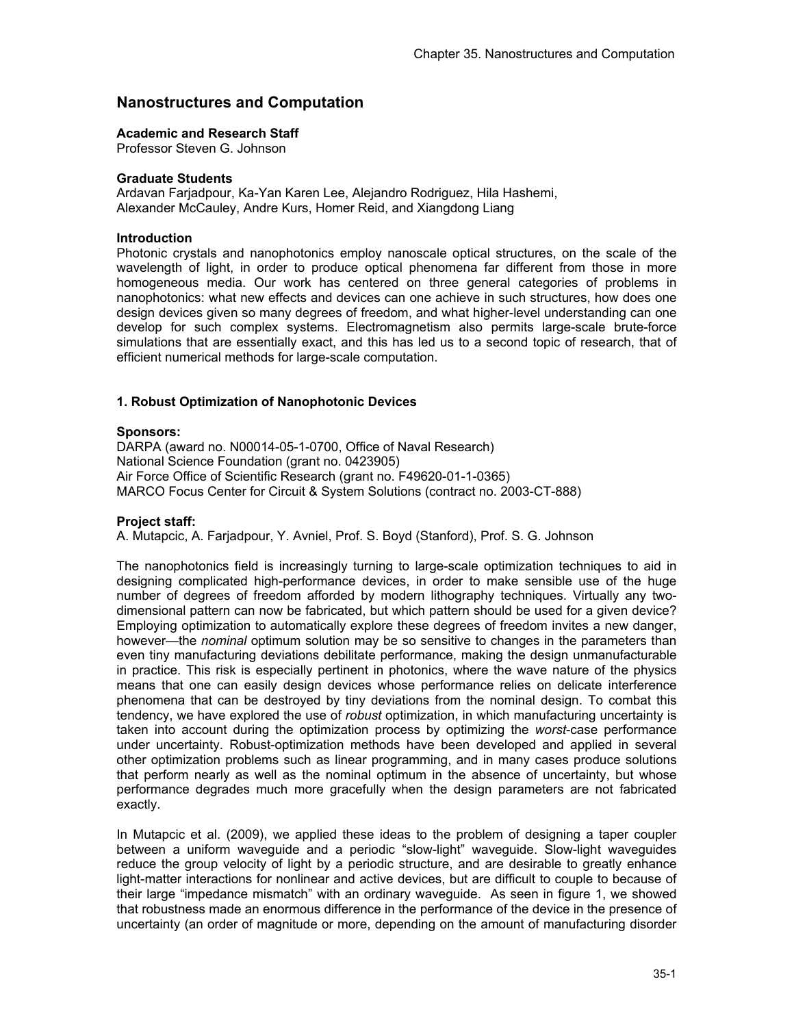# **Nanostructures and Computation**

## **Academic and Research Staff**

Professor Steven G. Johnson

## **Graduate Students**

Ardavan Farjadpour, Ka-Yan Karen Lee, Alejandro Rodriguez, Hila Hashemi, Alexander McCauley, Andre Kurs, Homer Reid, and Xiangdong Liang

## **Introduction**

Photonic crystals and nanophotonics employ nanoscale optical structures, on the scale of the wavelength of light, in order to produce optical phenomena far different from those in more homogeneous media. Our work has centered on three general categories of problems in nanophotonics: what new effects and devices can one achieve in such structures, how does one design devices given so many degrees of freedom, and what higher-level understanding can one develop for such complex systems. Electromagnetism also permits large-scale brute-force simulations that are essentially exact, and this has led us to a second topic of research, that of efficient numerical methods for large-scale computation.

## **1. Robust Optimization of Nanophotonic Devices**

## **Sponsors:**

DARPA (award no. N00014-05-1-0700, Office of Naval Research) National Science Foundation (grant no. 0423905) Air Force Office of Scientific Research (grant no. F49620-01-1-0365) MARCO Focus Center for Circuit & System Solutions (contract no. 2003-CT-888)

## **Project staff:**

A. Mutapcic, A. Farjadpour, Y. Avniel, Prof. S. Boyd (Stanford), Prof. S. G. Johnson

The nanophotonics field is increasingly turning to large-scale optimization techniques to aid in designing complicated high-performance devices, in order to make sensible use of the huge number of degrees of freedom afforded by modern lithography techniques. Virtually any twodimensional pattern can now be fabricated, but which pattern should be used for a given device? Employing optimization to automatically explore these degrees of freedom invites a new danger, however—the *nominal* optimum solution may be so sensitive to changes in the parameters than even tiny manufacturing deviations debilitate performance, making the design unmanufacturable in practice. This risk is especially pertinent in photonics, where the wave nature of the physics means that one can easily design devices whose performance relies on delicate interference phenomena that can be destroyed by tiny deviations from the nominal design. To combat this tendency, we have explored the use of *robust* optimization, in which manufacturing uncertainty is taken into account during the optimization process by optimizing the *worst*-case performance under uncertainty. Robust-optimization methods have been developed and applied in several other optimization problems such as linear programming, and in many cases produce solutions that perform nearly as well as the nominal optimum in the absence of uncertainty, but whose performance degrades much more gracefully when the design parameters are not fabricated exactly.

In Mutapcic et al. (2009), we applied these ideas to the problem of designing a taper coupler between a uniform waveguide and a periodic "slow-light" waveguide. Slow-light waveguides reduce the group velocity of light by a periodic structure, and are desirable to greatly enhance light-matter interactions for nonlinear and active devices, but are difficult to couple to because of their large "impedance mismatch" with an ordinary waveguide. As seen in figure 1, we showed that robustness made an enormous difference in the performance of the device in the presence of uncertainty (an order of magnitude or more, depending on the amount of manufacturing disorder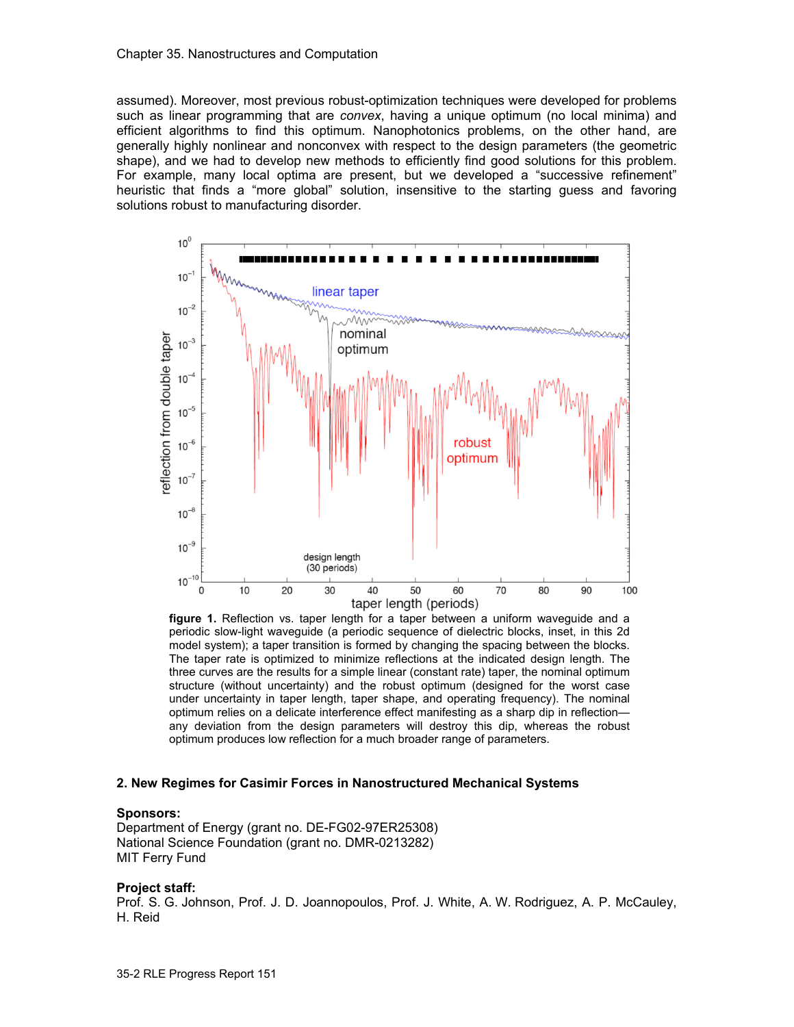assumed). Moreover, most previous robust-optimization techniques were developed for problems such as linear programming that are *convex*, having a unique optimum (no local minima) and efficient algorithms to find this optimum. Nanophotonics problems, on the other hand, are generally highly nonlinear and nonconvex with respect to the design parameters (the geometric shape), and we had to develop new methods to efficiently find good solutions for this problem. For example, many local optima are present, but we developed a "successive refinement" heuristic that finds a "more global" solution, insensitive to the starting guess and favoring solutions robust to manufacturing disorder.



figure 1. Reflection vs. taper length (periods)<br>**figure 1.** Reflection vs. taper length for a taper between a uniform waveguide and a periodic slow-light waveguide (a periodic sequence of dielectric blocks, inset, in this 2d model system); a taper transition is formed by changing the spacing between the blocks. The taper rate is optimized to minimize reflections at the indicated design length. The three curves are the results for a simple linear (constant rate) taper, the nominal optimum structure (without uncertainty) and the robust optimum (designed for the worst case under uncertainty in taper length, taper shape, and operating frequency). The nominal optimum relies on a delicate interference effect manifesting as a sharp dip in reflection any deviation from the design parameters will destroy this dip, whereas the robust optimum produces low reflection for a much broader range of parameters.

#### **2. New Regimes for Casimir Forces in Nanostructured Mechanical Systems**

#### **Sponsors:**

Department of Energy (grant no. DE-FG02-97ER25308) National Science Foundation (grant no. DMR-0213282) MIT Ferry Fund

#### **Project staff:**

Prof. S. G. Johnson, Prof. J. D. Joannopoulos, Prof. J. White, A. W. Rodriguez, A. P. McCauley, H. Reid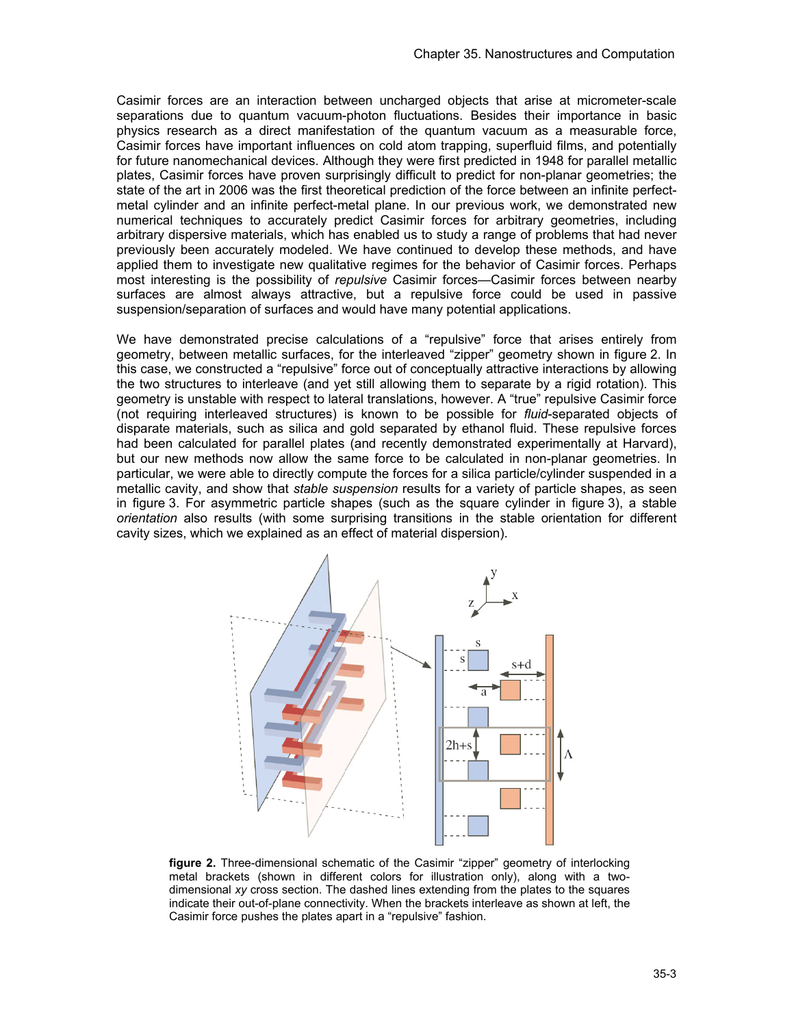Casimir forces are an interaction between uncharged objects that arise at micrometer-scale separations due to quantum vacuum-photon fluctuations. Besides their importance in basic physics research as a direct manifestation of the quantum vacuum as a measurable force, Casimir forces have important influences on cold atom trapping, superfluid films, and potentially for future nanomechanical devices. Although they were first predicted in 1948 for parallel metallic plates, Casimir forces have proven surprisingly difficult to predict for non-planar geometries; the state of the art in 2006 was the first theoretical prediction of the force between an infinite perfectmetal cylinder and an infinite perfect-metal plane. In our previous work, we demonstrated new numerical techniques to accurately predict Casimir forces for arbitrary geometries, including arbitrary dispersive materials, which has enabled us to study a range of problems that had never previously been accurately modeled. We have continued to develop these methods, and have applied them to investigate new qualitative regimes for the behavior of Casimir forces. Perhaps most interesting is the possibility of *repulsive* Casimir forces—Casimir forces between nearby surfaces are almost always attractive, but a repulsive force could be used in passive suspension/separation of surfaces and would have many potential applications.

We have demonstrated precise calculations of a "repulsive" force that arises entirely from geometry, between metallic surfaces, for the interleaved "zipper" geometry shown in figure 2. In this case, we constructed a "repulsive" force out of conceptually attractive interactions by allowing the two structures to interleave (and yet still allowing them to separate by a rigid rotation). This geometry is unstable with respect to lateral translations, however. A "true" repulsive Casimir force (not requiring interleaved structures) is known to be possible for *fluid*-separated objects of disparate materials, such as silica and gold separated by ethanol fluid. These repulsive forces had been calculated for parallel plates (and recently demonstrated experimentally at Harvard), but our new methods now allow the same force to be calculated in non-planar geometries. In particular, we were able to directly compute the forces for a silica particle/cylinder suspended in a metallic cavity, and show that *stable suspension* results for a variety of particle shapes, as seen in figure 3. For asymmetric particle shapes (such as the square cylinder in figure 3), a stable *orientation* also results (with some surprising transitions in the stable orientation for different cavity sizes, which we explained as an effect of material dispersion).



**figure 2.** Three-dimensional schematic of the Casimir "zipper" geometry of interlocking metal brackets (shown in different colors for illustration only), along with a twodimensional *xy* cross section. The dashed lines extending from the plates to the squares indicate their out-of-plane connectivity. When the brackets interleave as shown at left, the Casimir force pushes the plates apart in a "repulsive" fashion.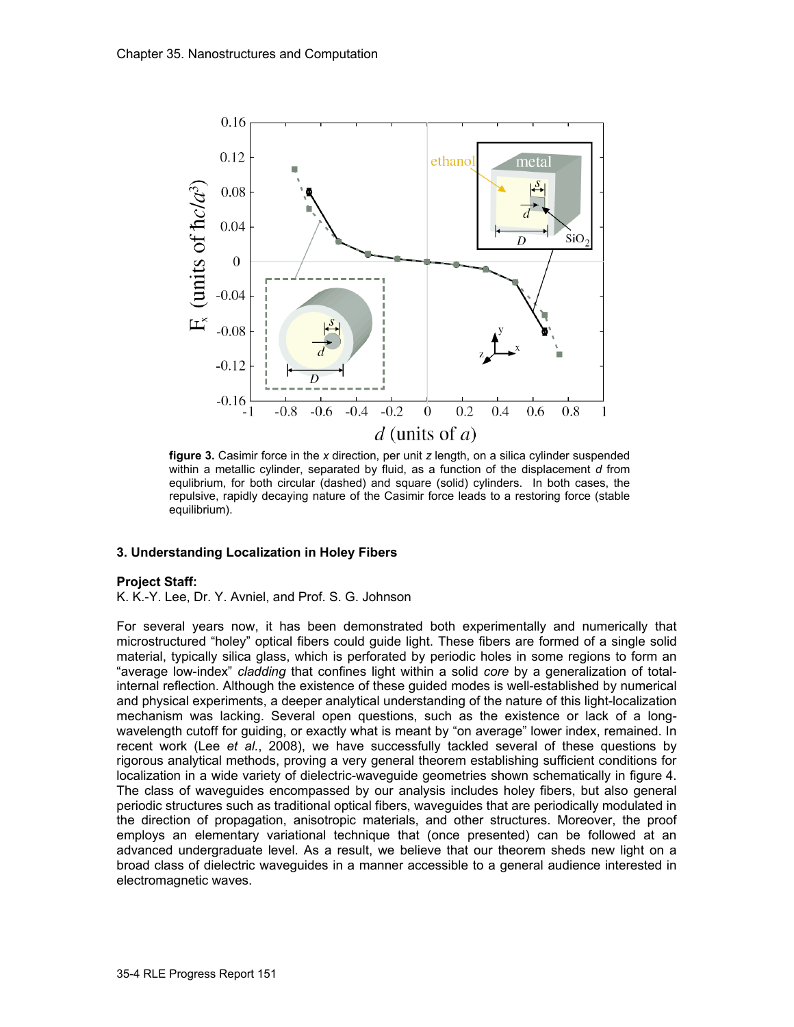

**figure 3.** Casimir force in the *x* direction, per unit *z* length, on a silica cylinder suspended within a metallic cylinder, separated by fluid, as a function of the displacement *d* from equlibrium, for both circular (dashed) and square (solid) cylinders. In both cases, the repulsive, rapidly decaying nature of the Casimir force leads to a restoring force (stable equilibrium).

## **3. Understanding Localization in Holey Fibers**

## **Project Staff:**

K. K.-Y. Lee, Dr. Y. Avniel, and Prof. S. G. Johnson

For several years now, it has been demonstrated both experimentally and numerically that microstructured "holey" optical fibers could guide light. These fibers are formed of a single solid material, typically silica glass, which is perforated by periodic holes in some regions to form an "average low-index" *cladding* that confines light within a solid *core* by a generalization of totalinternal reflection. Although the existence of these guided modes is well-established by numerical and physical experiments, a deeper analytical understanding of the nature of this light-localization mechanism was lacking. Several open questions, such as the existence or lack of a longwavelength cutoff for guiding, or exactly what is meant by "on average" lower index, remained. In recent work (Lee *et al.*, 2008), we have successfully tackled several of these questions by rigorous analytical methods, proving a very general theorem establishing sufficient conditions for localization in a wide variety of dielectric-waveguide geometries shown schematically in figure 4. The class of waveguides encompassed by our analysis includes holey fibers, but also general periodic structures such as traditional optical fibers, waveguides that are periodically modulated in the direction of propagation, anisotropic materials, and other structures. Moreover, the proof employs an elementary variational technique that (once presented) can be followed at an advanced undergraduate level. As a result, we believe that our theorem sheds new light on a broad class of dielectric waveguides in a manner accessible to a general audience interested in electromagnetic waves.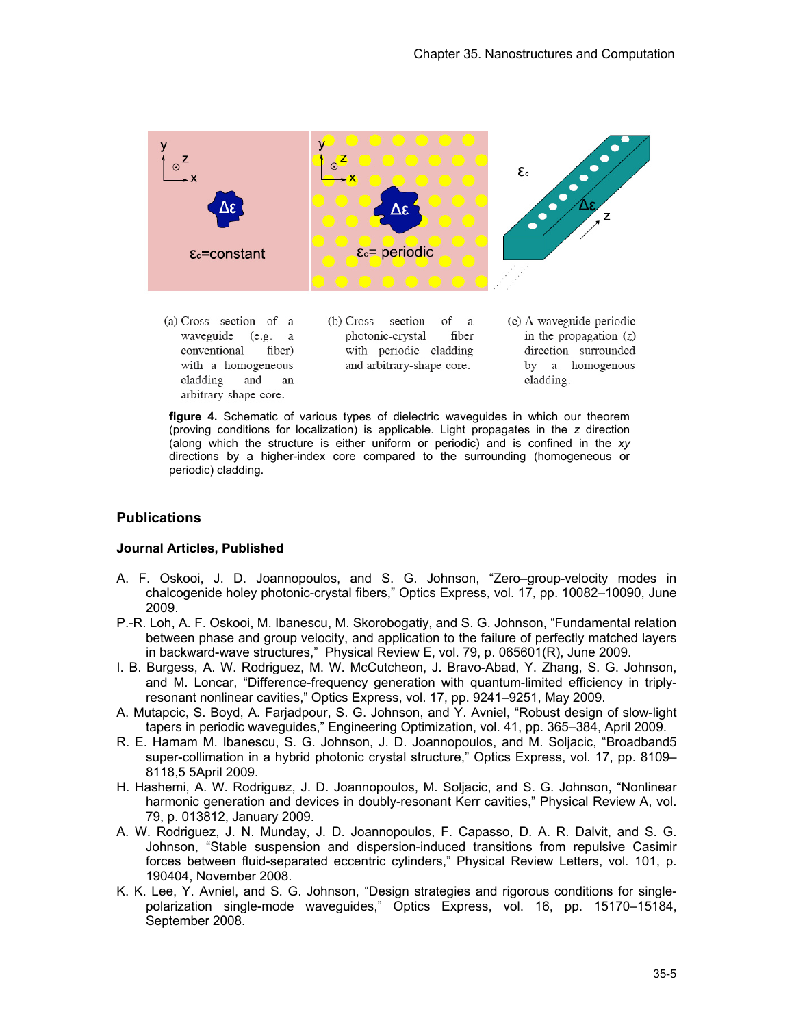

conventional fiber) with a homogeneous cladding and an arbitrary-shape core.

with periodic cladding and arbitrary-shape core.

direction surrounded by a homogenous cladding.

**figure 4.** Schematic of various types of dielectric waveguides in which our theorem (proving conditions for localization) is applicable. Light propagates in the *z* direction (along which the structure is either uniform or periodic) and is confined in the *xy* directions by a higher-index core compared to the surrounding (homogeneous or periodic) cladding.

# **Publications**

## **Journal Articles, Published**

- A. F. Oskooi, J. D. Joannopoulos, and S. G. Johnson, "Zero–group-velocity modes in chalcogenide holey photonic-crystal fibers," Optics Express, vol. 17, pp. 10082–10090, June 2009.
- P.-R. Loh, A. F. Oskooi, M. Ibanescu, M. Skorobogatiy, and S. G. Johnson, "Fundamental relation between phase and group velocity, and application to the failure of perfectly matched layers in backward-wave structures," Physical Review E, vol. 79, p. 065601(R), June 2009.
- I. B. Burgess, A. W. Rodriguez, M. W. McCutcheon, J. Bravo-Abad, Y. Zhang, S. G. Johnson, and M. Loncar, "Difference-frequency generation with quantum-limited efficiency in triplyresonant nonlinear cavities," Optics Express, vol. 17, pp. 9241–9251, May 2009.
- A. Mutapcic, S. Boyd, A. Farjadpour, S. G. Johnson, and Y. Avniel, "Robust design of slow-light tapers in periodic waveguides," Engineering Optimization, vol. 41, pp. 365–384, April 2009.
- R. E. Hamam M. Ibanescu, S. G. Johnson, J. D. Joannopoulos, and M. Soljacic, "Broadband5 super-collimation in a hybrid photonic crystal structure," Optics Express, vol. 17, pp. 8109– 8118,5 5April 2009.
- H. Hashemi, A. W. Rodriguez, J. D. Joannopoulos, M. Soljacic, and S. G. Johnson, "Nonlinear harmonic generation and devices in doubly-resonant Kerr cavities," Physical Review A, vol. 79, p. 013812, January 2009.
- A. W. Rodriguez, J. N. Munday, J. D. Joannopoulos, F. Capasso, D. A. R. Dalvit, and S. G. Johnson, "Stable suspension and dispersion-induced transitions from repulsive Casimir forces between fluid-separated eccentric cylinders," Physical Review Letters, vol. 101, p. 190404, November 2008.
- K. K. Lee, Y. Avniel, and S. G. Johnson, "Design strategies and rigorous conditions for singlepolarization single-mode waveguides," Optics Express, vol. 16, pp. 15170–15184, September 2008.